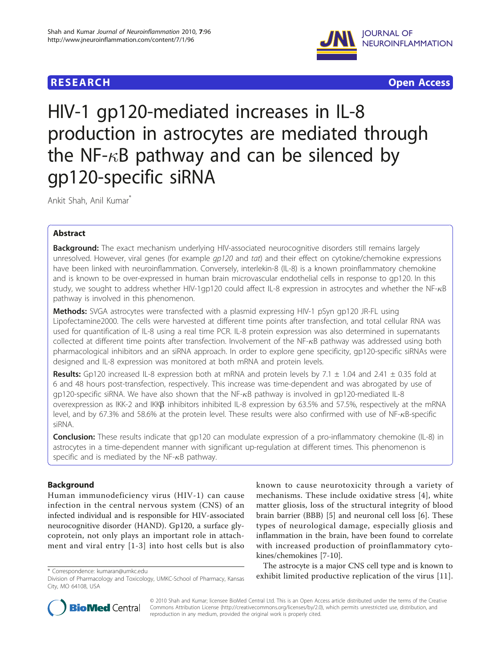

**RESEARCH CONSTRUCTION CONSTRUCTS** 

# HIV-1 gp120-mediated increases in IL-8 production in astrocytes are mediated through the NF- $\kappa$ B pathway and can be silenced by gp120-specific siRNA

Ankit Shah, Anil Kumar\*

# Abstract

Background: The exact mechanism underlying HIV-associated neurocognitive disorders still remains largely unresolved. However, viral genes (for example  $qp120$  and tat) and their effect on cytokine/chemokine expressions have been linked with neuroinflammation. Conversely, interlekin-8 (IL-8) is a known proinflammatory chemokine and is known to be over-expressed in human brain microvascular endothelial cells in response to gp120. In this study, we sought to address whether HIV-1gp120 could affect IL-8 expression in astrocytes and whether the NF- $\kappa$ B pathway is involved in this phenomenon.

Methods: SVGA astrocytes were transfected with a plasmid expressing HIV-1 pSyn gp120 JR-FL using Lipofectamine2000. The cells were harvested at different time points after transfection, and total cellular RNA was used for quantification of IL-8 using a real time PCR. IL-8 protein expression was also determined in supernatants collected at different time points after transfection. Involvement of the NF- $\kappa$ B pathway was addressed using both pharmacological inhibitors and an siRNA approach. In order to explore gene specificity, gp120-specific siRNAs were designed and IL-8 expression was monitored at both mRNA and protein levels.

**Results:** Gp120 increased IL-8 expression both at mRNA and protein levels by 7.1  $\pm$  1.04 and 2.41  $\pm$  0.35 fold at 6 and 48 hours post-transfection, respectively. This increase was time-dependent and was abrogated by use of  $qp120-specific$  siRNA. We have also shown that the NF- $\kappa$ B pathway is involved in  $qp120$ -mediated IL-8 overexpression as IKK-2 and IKKB inhibitors inhibited IL-8 expression by 63.5% and 57.5%, respectively at the mRNA level, and by 67.3% and 58.6% at the protein level. These results were also confirmed with use of NF- $\kappa$ B-specific siRNA.

Conclusion: These results indicate that gp120 can modulate expression of a pro-inflammatory chemokine (IL-8) in astrocytes in a time-dependent manner with significant up-regulation at different times. This phenomenon is specific and is mediated by the NF- $\kappa$ B pathway.

# Background

Human immunodeficiency virus (HIV-1) can cause infection in the central nervous system (CNS) of an infected individual and is responsible for HIV-associated neurocognitive disorder (HAND). Gp120, a surface glycoprotein, not only plays an important role in attachment and viral entry [[1](#page-4-0)-[3](#page-4-0)] into host cells but is also

known to cause neurotoxicity through a variety of mechanisms. These include oxidative stress [[4](#page-4-0)], white matter gliosis, loss of the structural integrity of blood brain barrier (BBB) [\[5\]](#page-4-0) and neuronal cell loss [\[6](#page-4-0)]. These types of neurological damage, especially gliosis and inflammation in the brain, have been found to correlate with increased production of proinflammatory cytokines/chemokines [[7-10](#page-4-0)].

The astrocyte is a major CNS cell type and is known to \* Correspondence: kumaran@umkc.edu<br>Division of Pharmacology and Tovicology HMKC-School of Pharmacy Kansas exhibit limited productive replication of the virus [[11](#page-4-0)].



© 2010 Shah and Kumar; licensee BioMed Central Ltd. This is an Open Access article distributed under the terms of the Creative Commons Attribution License [\(http://creativecommons.org/licenses/by/2.0](http://creativecommons.org/licenses/by/2.0)), which permits unrestricted use, distribution, and reproduction in any medium, provided the original work is properly cited.

Division of Pharmacology and Toxicology, UMKC-School of Pharmacy, Kansas City, MO 64108, USA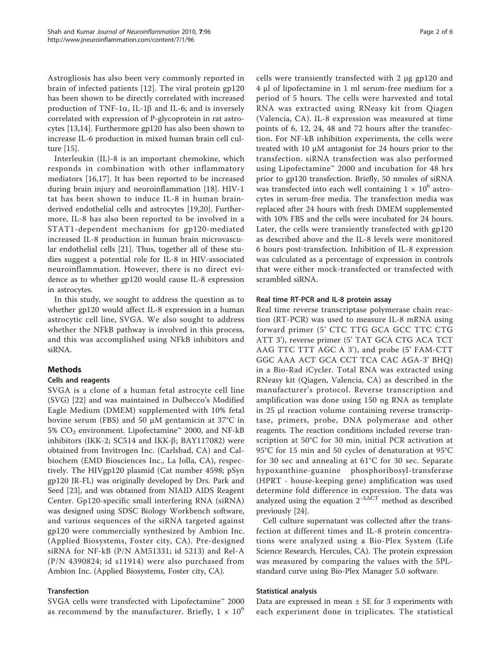Astrogliosis has also been very commonly reported in brain of infected patients [[12\]](#page-4-0). The viral protein gp120 has been shown to be directly correlated with increased production of TNF-1 $\alpha$ , IL-1 $\beta$  and IL-6; and is inversely correlated with expression of P-glycoprotein in rat astrocytes [[13,14\]](#page-4-0). Furthermore gp120 has also been shown to increase IL-6 production in mixed human brain cell culture [\[15\]](#page-4-0).

Interleukin (IL)-8 is an important chemokine, which responds in combination with other inflammatory mediators [[16,17](#page-4-0)]. It has been reported to be increased during brain injury and neuroinflammation [\[18](#page-5-0)]. HIV-1 tat has been shown to induce IL-8 in human brainderived endothelial cells and astrocytes [[19](#page-5-0),[20](#page-5-0)]. Furthermore, IL-8 has also been reported to be involved in a STAT1-dependent mechanism for gp120-mediated increased IL-8 production in human brain microvascular endothelial cells [\[21](#page-5-0)]. Thus, together all of these studies suggest a potential role for IL-8 in HIV-associated neuroinflammation. However, there is no direct evidence as to whether gp120 would cause IL-8 expression in astrocytes.

In this study, we sought to address the question as to whether gp120 would affect IL-8 expression in a human astrocytic cell line, SVGA. We also sought to address whether the NFkB pathway is involved in this process, and this was accomplished using NFkB inhibitors and siRNA.

# Methods

# Cells and reagents

SVGA is a clone of a human fetal astrocyte cell line (SVG) [[22](#page-5-0)] and was maintained in Dulbecco's Modified Eagle Medium (DMEM) supplemented with 10% fetal bovine serum (FBS) and 50 μM gentamicin at  $37^{\circ}$ C in 5%  $CO<sub>2</sub>$  environment. Lipofectamine™ 2000, and NF-kB inhibitors (IKK-2; SC514 and IKK- $\beta$ ; BAY117082) were obtained from Invitrogen Inc. (Carlsbad, CA) and Calbiochem (EMD Biosciences Inc., La Jolla, CA), respectively. The HIVgp120 plasmid (Cat number 4598; pSyn gp120 JR-FL) was originally developed by Drs. Park and Seed [\[23](#page-5-0)], and was obtained from NIAID AIDS Reagent Center. Gp120-specific small interfering RNA (siRNA) was designed using SDSC Biology Workbench software, and various sequences of the siRNA targeted against gp120 were commercially synthesized by Ambion Inc. (Applied Biosystems, Foster city, CA). Pre-designed siRNA for NF-kB (P/N AM51331; id 5213) and Rel-A (P/N 4390824; id s11914) were also purchased from Ambion Inc. (Applied Biosystems, Foster city, CA).

# Transfection

SVGA cells were transfected with Lipofectamine™ 2000 as recommend by the manufacturer. Briefly,  $1 \times 10^6$  cells were transiently transfected with 2 μg gp120 and 4 μl of lipofectamine in 1 ml serum-free medium for a period of 5 hours. The cells were harvested and total RNA was extracted using RNeasy kit from Qiagen (Valencia, CA). IL-8 expression was measured at time points of 6, 12, 24, 48 and 72 hours after the transfection. For NF-kB inhibition experiments, the cells were treated with 10 μM antagonist for 24 hours prior to the transfection. siRNA transfection was also performed using Lipofectamine™ 2000 and incubation for 48 hrs prior to gp120 transfection. Briefly, 50 nmoles of siRNA was transfected into each well containing  $1 \times 10^6$  astrocytes in serum-free media. The transfection media was replaced after 24 hours with fresh DMEM supplemented with 10% FBS and the cells were incubated for 24 hours. Later, the cells were transiently transfected with gp120 as described above and the IL-8 levels were monitored 6 hours post-transfection. Inhibition of IL-8 expression was calculated as a percentage of expression in controls that were either mock-transfected or transfected with scrambled siRNA.

#### Real time RT-PCR and IL-8 protein assay

Real time reverse transcriptase polymerase chain reaction (RT-PCR) was used to measure IL-8 mRNA using forward primer (5' CTC TTG GCA GCC TTC CTG ATT 3'), reverse primer (5' TAT GCA CTG ACA TCT AAG TTC TTT AGC A 3'), and probe (5' FAM-CTT GGC AAA ACT GCA CCT TCA CAC AGA-3' BHQ) in a Bio-Rad iCycler. Total RNA was extracted using RNeasy kit (Qiagen, Valencia, CA) as described in the manufacturer's protocol. Reverse transcription and amplification was done using 150 ng RNA as template in 25 μl reaction volume containing reverse transcriptase, primers, probe, DNA polymerase and other reagents. The reaction conditions included reverse transcription at 50°C for 30 min, initial PCR activation at 95°C for 15 min and 50 cycles of denaturation at 95°C for 30 sec and annealing at 61°C for 30 sec. Separate hypoxanthine-guanine phosphoribosyl-transferase (HPRT - house-keeping gene) amplification was used determine fold difference in expression. The data was analyzed using the equation  $2^{-\Delta \Delta \bar{C}T}$  method as described previously [\[24](#page-5-0)].

Cell culture supernatant was collected after the transfection at different times and IL-8 protein concentrations were analyzed using a Bio-Plex System (Life Science Research, Hercules, CA). The protein expression was measured by comparing the values with the 5PLstandard curve using Bio-Plex Manager 5.0 software.

#### Statistical analysis

Data are expressed in mean  $\pm$  SE for 3 experiments with each experiment done in triplicates. The statistical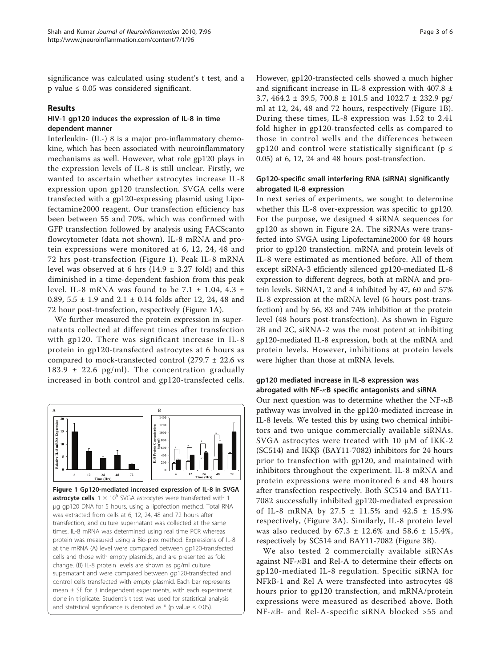significance was calculated using student's t test, and a p value  $\leq 0.05$  was considered significant.

#### Results

# HIV-1 gp120 induces the expression of IL-8 in time dependent manner

Interleukin- (IL-) 8 is a major pro-inflammatory chemokine, which has been associated with neuroinflammatory mechanisms as well. However, what role gp120 plays in the expression levels of IL-8 is still unclear. Firstly, we wanted to ascertain whether astrocytes increase IL-8 expression upon gp120 transfection. SVGA cells were transfected with a gp120-expressing plasmid using Lipofectamine2000 reagent. Our transfection efficiency has been between 55 and 70%, which was confirmed with GFP transfection followed by analysis using FACScanto flowcytometer (data not shown). IL-8 mRNA and protein expressions were monitored at 6, 12, 24, 48 and 72 hrs post-transfection (Figure 1). Peak IL-8 mRNA level was observed at 6 hrs  $(14.9 \pm 3.27 \text{ fold})$  and this diminished in a time-dependent fashion from this peak level. IL-8 mRNA was found to be 7.1  $\pm$  1.04, 4.3  $\pm$ 0.89,  $5.5 \pm 1.9$  and  $2.1 \pm 0.14$  folds after 12, 24, 48 and 72 hour post-transfection, respectively (Figure 1A).

We further measured the protein expression in supernatants collected at different times after transfection with gp120. There was significant increase in IL-8 protein in gp120-transfected astrocytes at 6 hours as compared to mock-transfected control  $(279.7 \pm 22.6 \text{ vs }$ 183.9  $\pm$  22.6 pg/ml). The concentration gradually increased in both control and gp120-transfected cells.



**astrocyte cells**.  $1 \times 10^6$  SVGA astrocytes were transfected with 1 μg gp120 DNA for 5 hours, using a lipofection method. Total RNA was extracted from cells at 6, 12, 24, 48 and 72 hours after transfection, and culture supernatant was collected at the same times. IL-8 mRNA was determined using real time PCR whereas protein was measured using a Bio-plex method. Expressions of IL-8 at the mRNA (A) level were compared between gp120-transfected cells and those with empty plasmids, and are presented as fold change. (B) IL-8 protein levels are shown as pg/ml culture supernatant and were compared between gp120-transfected and control cells transfected with empty plasmid. Each bar represents mean  $\pm$  SE for 3 independent experiments, with each experiment done in triplicate. Student's t test was used for statistical analysis and statistical significance is denoted as  $*$  (p value  $\leq$  0.05).

However, gp120-transfected cells showed a much higher and significant increase in IL-8 expression with 407.8 ± 3.7, 464.2 ± 39.5, 700.8 ± 101.5 and 1022.7 ± 232.9 pg/ ml at 12, 24, 48 and 72 hours, respectively (Figure 1B). During these times, IL-8 expression was 1.52 to 2.41 fold higher in gp120-transfected cells as compared to those in control wells and the differences between gp120 and control were statistically significant ( $p \le$ 0.05) at 6, 12, 24 and 48 hours post-transfection.

# Gp120-specific small interfering RNA (siRNA) significantly abrogated IL-8 expression

In next series of experiments, we sought to determine whether this IL-8 over-expression was specific to gp120. For the purpose, we designed 4 siRNA sequences for gp120 as shown in Figure [2A.](#page-3-0) The siRNAs were transfected into SVGA using Lipofectamine2000 for 48 hours prior to gp120 transfection. mRNA and protein levels of IL-8 were estimated as mentioned before. All of them except siRNA-3 efficiently silenced gp120-mediated IL-8 expression to different degrees, both at mRNA and protein levels. SiRNA1, 2 and 4 inhibited by 47, 60 and 57% IL-8 expression at the mRNA level (6 hours post-transfection) and by 56, 83 and 74% inhibition at the protein level (48 hours post-transfection). As shown in Figure [2B](#page-3-0) and [2C](#page-3-0), siRNA-2 was the most potent at inhibiting gp120-mediated IL-8 expression, both at the mRNA and protein levels. However, inhibitions at protein levels were higher than those at mRNA levels.

# gp120 mediated increase in IL-8 expression was abrogated with NF- $\kappa$ B specific antagonists and siRNA

Our next question was to determine whether the NF- $\kappa$ B pathway was involved in the gp120-mediated increase in IL-8 levels. We tested this by using two chemical inhibitors and two unique commercially available siRNAs. SVGA astrocytes were treated with 10 μM of IKK-2 (SC514) and IKK $\beta$  (BAY11-7082) inhibitors for 24 hours prior to transfection with gp120, and maintained with inhibitors throughout the experiment. IL-8 mRNA and protein expressions were monitored 6 and 48 hours after transfection respectively. Both SC514 and BAY11- 7082 successfully inhibited gp120-mediated expression of IL-8 mRNA by 27.5 ± 11.5% and 42.5 ± 15.9% respectively, (Figure [3A](#page-3-0)). Similarly, IL-8 protein level was also reduced by  $67.3 \pm 12.6\%$  and  $58.6 \pm 15.4\%$ , respectively by SC514 and BAY11-7082 (Figure [3B](#page-3-0)).

We also tested 2 commercially available siRNAs against NF- $\kappa$ B1 and Rel-A to determine their effects on gp120-mediated IL-8 regulation. Specific siRNA for NFkB-1 and Rel A were transfected into astrocytes 48 hours prior to gp120 transfection, and mRNA/protein expressions were measured as described above. Both  $NF- $\kappa$ B-$  and Rel-A-specific siRNA blocked >55 and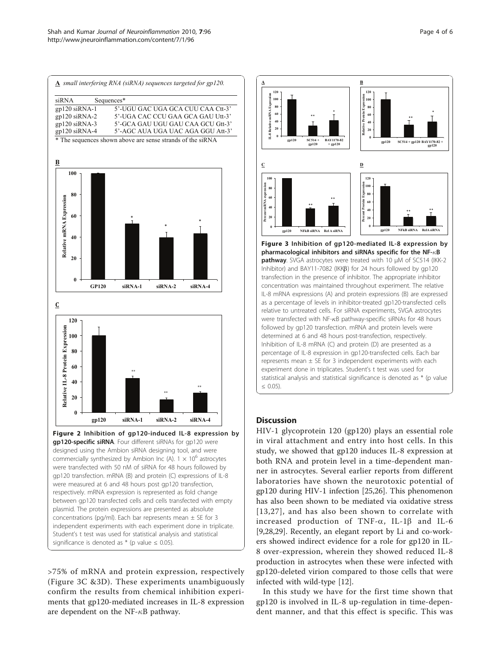<span id="page-3-0"></span>



>75% of mRNA and protein expression, respectively (Figure 3C &3D). These experiments unambiguously confirm the results from chemical inhibition experiments that gp120-mediated increases in IL-8 expression are dependent on the NF- $\kappa$ B pathway.



# **Discussion**

HIV-1 glycoprotein 120 (gp120) plays an essential role in viral attachment and entry into host cells. In this study, we showed that gp120 induces IL-8 expression at both RNA and protein level in a time-dependent manner in astrocytes. Several earlier reports from different laboratories have shown the neurotoxic potential of gp120 during HIV-1 infection [\[25,26](#page-5-0)]. This phenomenon has also been shown to be mediated via oxidative stress [[13](#page-4-0),[27](#page-5-0)], and has also been shown to correlate with increased production of TNF- $\alpha$ , IL-1 $\beta$  and IL-6 [[9,](#page-4-0)[28,29\]](#page-5-0). Recently, an elegant report by Li and co-workers showed indirect evidence for a role for gp120 in IL-8 over-expression, wherein they showed reduced IL-8 production in astrocytes when these were infected with gp120-deleted virion compared to those cells that were infected with wild-type [\[12](#page-4-0)].

In this study we have for the first time shown that gp120 is involved in IL-8 up-regulation in time-dependent manner, and that this effect is specific. This was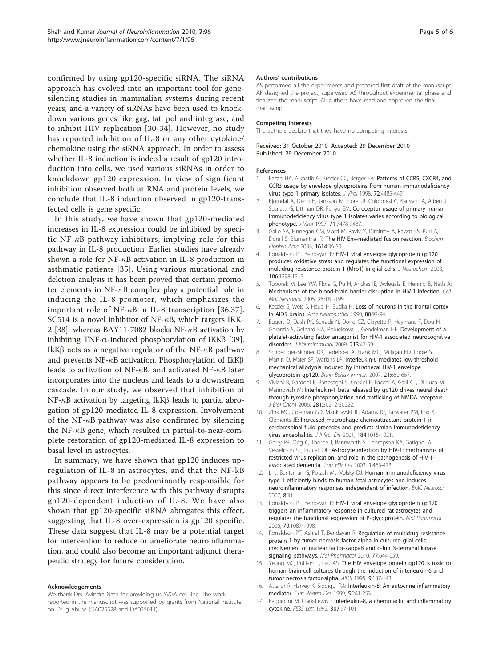<span id="page-4-0"></span>confirmed by using gp120-specific siRNA. The siRNA approach has evolved into an important tool for genesilencing studies in mammalian systems during recent years, and a variety of siRNAs have been used to knockdown various genes like gag, tat, pol and integrase, and to inhibit HIV replication [[30-34\]](#page-5-0). However, no study has reported inhibition of IL-8 or any other cytokine/ chemokine using the siRNA approach. In order to assess whether IL-8 induction is indeed a result of gp120 introduction into cells, we used various siRNAs in order to knockdown gp120 expression. In view of significant inhibition observed both at RNA and protein levels, we conclude that IL-8 induction observed in gp120-transfected cells is gene specific.

In this study, we have shown that gp120-mediated increases in IL-8 expression could be inhibited by specific NF- $\kappa$ B pathway inhibitors, implying role for this pathway in IL-8 production. Earlier studies have already shown a role for NF- $\kappa$ B activation in IL-8 production in asthmatic patients [[35\]](#page-5-0). Using various mutational and deletion analysis it has been proved that certain promoter elements in NF- $\kappa$ B complex play a potential role in inducing the IL-8 promoter, which emphasizes the important role of NF- $\kappa$ B in IL-8 transcription [[36](#page-5-0),[37\]](#page-5-0). SC514 is a novel inhibitor of NF- $\kappa$ B, which targets IKK-2 [\[38\]](#page-5-0), whereas BAY11-7082 blocks NF- $\kappa$ B activation by inhibiting TNF- $\alpha$ -induced phosphorylation of IKK $\beta$  [\[39](#page-5-0)]. IkK $\beta$  acts as a negative regulator of the NF- $\kappa$ B pathway and prevents NF- $\kappa$ B activation. Phosphorylation of IkK $\beta$ leads to activation of NF- $\kappa$ B, and activated NF- $\kappa$ B later incorporates into the nucleus and leads to a downstream cascade. In our study, we observed that inhibition of  $NF-\kappa B$  activation by targeting IkK $\beta$  leads to partial abrogation of gp120-mediated IL-8 expression. Involvement of the NF- $\kappa$ B pathway was also confirmed by silencing the NF- $\kappa$ B gene, which resulted in partial-to-near-complete restoration of gp120-mediated IL-8 expression to basal level in astrocytes.

In summary, we have shown that gp120 induces upregulation of IL-8 in astrocytes, and that the NF-kB pathway appears to be predominantly responsible for this since direct interference with this pathway disrupts gp120-dependent induction of IL-8. We have also shown that gp120-specific siRNA abrogates this effect, suggesting that IL-8 over-expression is gp120 specific. These data suggest that IL-8 may be a potential target for intervention to reduce or ameliorate neuroinflammation, and could also become an important adjunct therapeutic strategy for future consideration.

#### Acknowledgements

We thank Drs. Avindra Nath for providing us SVGA cell line. The work reported in the manuscript was supported by grants from National Institute on Drug Abuse (DA025528 and DA025011).

#### Authors' contributions

AS performed all the experiments and prepared first draft of the manuscript. AK designed the project, supervised AS throughout experimental phase and finalized the manuscript. All authors have read and approved the final manuscript.

#### Competing interests

The authors declare that they have no competing interests.

#### Received: 31 October 2010 Accepted: 29 December 2010 Published: 29 December 2010

#### References

- 1. Bazan HA, Alkhatib G, Broder CC, Berger EA: [Patterns of CCR5, CXCR4, and](http://www.ncbi.nlm.nih.gov/pubmed/9557746?dopt=Abstract) [CCR3 usage by envelope glycoproteins from human immunodeficiency](http://www.ncbi.nlm.nih.gov/pubmed/9557746?dopt=Abstract) [virus type 1 primary isolates.](http://www.ncbi.nlm.nih.gov/pubmed/9557746?dopt=Abstract) J Virol 1998, 72:4485-4491.
- 2. Bjorndal A, Deng H, Jansson M, Fiore JR, Colognesi C, Karlsson A, Albert J, Scarlatti G, Littman DR, Fenyo EM: [Coreceptor usage of primary human](http://www.ncbi.nlm.nih.gov/pubmed/9311827?dopt=Abstract) [immunodeficiency virus type 1 isolates varies according to biological](http://www.ncbi.nlm.nih.gov/pubmed/9311827?dopt=Abstract) [phenotype.](http://www.ncbi.nlm.nih.gov/pubmed/9311827?dopt=Abstract) J Virol 1997, 71:7478-7487.
- 3. Gallo SA, Finnegan CM, Viard M, Raviv Y, Dimitrov A, Rawat SS, Puri A, Durell S, Blumenthal R: [The HIV Env-mediated fusion reaction.](http://www.ncbi.nlm.nih.gov/pubmed/12873764?dopt=Abstract) Biochim Biophys Acta 2003, 1614:36-50.
- Ronaldson PT, Bendayan R: [HIV-1 viral envelope glycoprotein gp120](http://www.ncbi.nlm.nih.gov/pubmed/18485102?dopt=Abstract) [produces oxidative stress and regulates the functional expression of](http://www.ncbi.nlm.nih.gov/pubmed/18485102?dopt=Abstract) [multidrug resistance protein-1 \(Mrp1\) in glial cells.](http://www.ncbi.nlm.nih.gov/pubmed/18485102?dopt=Abstract) J Neurochem 2008, 106:1298-1313.
- 5. Toborek M, Lee YW, Flora G, Pu H, Andras IE, Wylegala E, Hennig B, Nath A: [Mechanisms of the blood-brain barrier disruption in HIV-1 infection.](http://www.ncbi.nlm.nih.gov/pubmed/15962513?dopt=Abstract) Cell Mol Neurobiol 2005, 25:181-199.
- 6. Ketzler S, Weis S, Haug H, Budka H: [Loss of neurons in the frontal cortex](http://www.ncbi.nlm.nih.gov/pubmed/2360420?dopt=Abstract) [in AIDS brains.](http://www.ncbi.nlm.nih.gov/pubmed/2360420?dopt=Abstract) Acta Neuropathol 1990, 80:92-94.
- 7. Eggert D, Dash PK, Serradji N, Dong CZ, Clayette P, Heymans F, Dou H, Gorantla S, Gelbard HA, Poluektova L, Gendelman HE: [Development of a](http://www.ncbi.nlm.nih.gov/pubmed/19541372?dopt=Abstract) [platelet-activating factor antagonist for HIV-1 associated neurocognitive](http://www.ncbi.nlm.nih.gov/pubmed/19541372?dopt=Abstract) [disorders.](http://www.ncbi.nlm.nih.gov/pubmed/19541372?dopt=Abstract) J Neuroimmunol 2009, 213:47-59.
- 8. Schoeniger-Skinner DK, Ledeboer A, Frank MG, Milligan ED, Poole S, Martin D, Maier SF, Watkins LR: [Interleukin-6 mediates low-threshold](http://www.ncbi.nlm.nih.gov/pubmed/17204394?dopt=Abstract) [mechanical allodynia induced by intrathecal HIV-1 envelope](http://www.ncbi.nlm.nih.gov/pubmed/17204394?dopt=Abstract) [glycoprotein gp120.](http://www.ncbi.nlm.nih.gov/pubmed/17204394?dopt=Abstract) Brain Behav Immun 2007, 21:660-667.
- 9. Viviani B, Gardoni F, Bartesaghi S, Corsini E, Facchi A, Galli CL, Di Luca M, Marinovich M: [Interleukin-1 beta released by gp120 drives neural death](http://www.ncbi.nlm.nih.gov/pubmed/16887807?dopt=Abstract) [through tyrosine phosphorylation and trafficking of NMDA receptors.](http://www.ncbi.nlm.nih.gov/pubmed/16887807?dopt=Abstract) J Biol Chem 2006, 281:30212-30222.
- 10. Zink MC, Coleman GD, Mankowski JL, Adams RJ, Tarwater PM, Fox K, Clements JE: [Increased macrophage chemoattractant protein-1 in](http://www.ncbi.nlm.nih.gov/pubmed/11574916?dopt=Abstract) [cerebrospinal fluid precedes and predicts simian immunodeficiency](http://www.ncbi.nlm.nih.gov/pubmed/11574916?dopt=Abstract) [virus encephalitis.](http://www.ncbi.nlm.nih.gov/pubmed/11574916?dopt=Abstract) *J Infect Dis* 2001, 184:1015-1021.
- 11. Gorry PR, Ong C, Thorpe J, Bannwarth S, Thompson KA, Gatignol A, Vesselingh SL, Purcell DF: [Astrocyte infection by HIV-1: mechanisms of](http://www.ncbi.nlm.nih.gov/pubmed/15049431?dopt=Abstract) [restricted virus replication, and role in the pathogenesis of HIV-1](http://www.ncbi.nlm.nih.gov/pubmed/15049431?dopt=Abstract) [associated dementia.](http://www.ncbi.nlm.nih.gov/pubmed/15049431?dopt=Abstract) Curr HIV Res 2003, 1:463-473.
- 12. Li J, Bentsman G, Potash MJ, Volsky DJ: [Human immunodeficiency virus](http://www.ncbi.nlm.nih.gov/pubmed/17498309?dopt=Abstract) [type 1 efficiently binds to human fetal astrocytes and induces](http://www.ncbi.nlm.nih.gov/pubmed/17498309?dopt=Abstract) [neuroinflammatory responses independent of infection.](http://www.ncbi.nlm.nih.gov/pubmed/17498309?dopt=Abstract) BMC Neurosci 2007, 8:31.
- 13. Ronaldson PT, Bendayan R: [HIV-1 viral envelope glycoprotein gp120](http://www.ncbi.nlm.nih.gov/pubmed/16790532?dopt=Abstract) [triggers an inflammatory response in cultured rat astrocytes and](http://www.ncbi.nlm.nih.gov/pubmed/16790532?dopt=Abstract) [regulates the functional expression of P-glycoprotein.](http://www.ncbi.nlm.nih.gov/pubmed/16790532?dopt=Abstract) Mol Pharmacol 2006, 70:1087-1098.
- 14. Ronaldson PT, Ashraf T, Bendayan R: [Regulation of multidrug resistance](http://www.ncbi.nlm.nih.gov/pubmed/20051532?dopt=Abstract) protein [1 by tumor necrosis factor alpha in cultured glial cells:](http://www.ncbi.nlm.nih.gov/pubmed/20051532?dopt=Abstract) [involvement of nuclear factor-kappaB and c-Jun N-terminal kinase](http://www.ncbi.nlm.nih.gov/pubmed/20051532?dopt=Abstract) [signaling pathways.](http://www.ncbi.nlm.nih.gov/pubmed/20051532?dopt=Abstract) Mol Pharmacol 2010, 77:644-659.
- 15. Yeung MC, Pulliam L, Lau AS: [The HIV envelope protein gp120 is toxic to](http://www.ncbi.nlm.nih.gov/pubmed/7536422?dopt=Abstract) [human brain-cell cultures through the induction of interleukin-6 and](http://www.ncbi.nlm.nih.gov/pubmed/7536422?dopt=Abstract) [tumor necrosis factor-alpha.](http://www.ncbi.nlm.nih.gov/pubmed/7536422?dopt=Abstract) AIDS 1995, 9:137-143.
- 16. Atta ur R, Harvey K, Siddiqui RA: [Interleukin-8: An autocrine inflammatory](http://www.ncbi.nlm.nih.gov/pubmed/10101223?dopt=Abstract) [mediator.](http://www.ncbi.nlm.nih.gov/pubmed/10101223?dopt=Abstract) Curr Pharm Des 1999, 5:241-253.
- 17. Baggiolini M, Clark-Lewis I: [Interleukin-8, a chemotactic and inflammatory](http://www.ncbi.nlm.nih.gov/pubmed/1639201?dopt=Abstract) [cytokine.](http://www.ncbi.nlm.nih.gov/pubmed/1639201?dopt=Abstract) FEBS Lett 1992, 307:97-101.